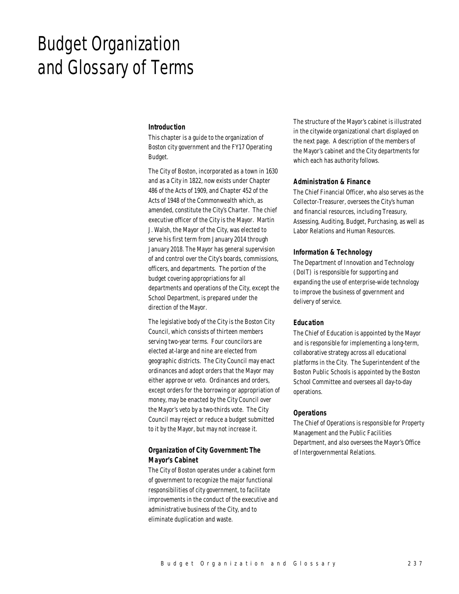# Budget Organization and Glossary of Terms

#### *Introduction*

This chapter is a guide to the organization of Boston city government and the FY17 Operating Budget.

The City of Boston, incorporated as a town in 1630 and as a City in 1822, now exists under Chapter 486 of the Acts of 1909, and Chapter 452 of the Acts of 1948 of the Commonwealth which, as amended, constitute the City's Charter. The chief executive officer of the City is the Mayor. Martin J. Walsh, the Mayor of the City, was elected to serve his first term from January 2014 through January 2018. The Mayor has general supervision of and control over the City's boards, commissions, officers, and departments. The portion of the budget covering appropriations for all departments and operations of the City, except the School Department, is prepared under the direction of the Mayor.

The legislative body of the City is the Boston City Council, which consists of thirteen members serving two-year terms. Four councilors are elected at-large and nine are elected from geographic districts. The City Council may enact ordinances and adopt orders that the Mayor may either approve or veto. Ordinances and orders, except orders for the borrowing or appropriation of money, may be enacted by the City Council over the Mayor's veto by a two-thirds vote. The City Council may reject or reduce a budget submitted to it by the Mayor, but may not increase it.

# *Organization of City Government: The Mayor's Cabinet*

The City of Boston operates under a cabinet form of government to recognize the major functional responsibilities of city government, to facilitate improvements in the conduct of the executive and administrative business of the City, and to eliminate duplication and waste.

The structure of the Mayor's cabinet is illustrated in the citywide organizational chart displayed on the next page. A description of the members of the Mayor's cabinet and the City departments for which each has authority follows.

## *Administration & Finance*

The Chief Financial Officer, who also serves as the Collector-Treasurer, oversees the City's human and financial resources, including Treasury, Assessing, Auditing, Budget, Purchasing, as well as Labor Relations and Human Resources.

# *Information & Technology*

The Department of Innovation and Technology (DoIT) is responsible for supporting and expanding the use of enterprise-wide technology to improve the business of government and delivery of service.

# *Education*

The Chief of Education is appointed by the Mayor and is responsible for implementing a long-term, collaborative strategy across all educational platforms in the City. The Superintendent of the Boston Public Schools is appointed by the Boston School Committee and oversees all day-to-day operations.

#### *Operations*

The Chief of Operations is responsible for Property Management and the Public Facilities Department, and also oversees the Mayor's Office of Intergovernmental Relations.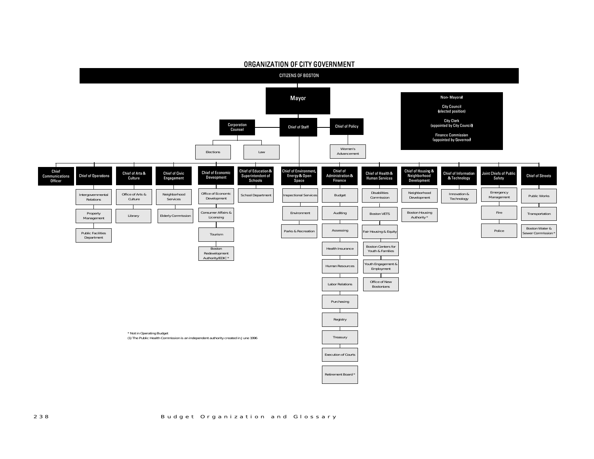

## ORGANIZATION OF CITY GOVERNMENT

238 Budget Organization and Glossary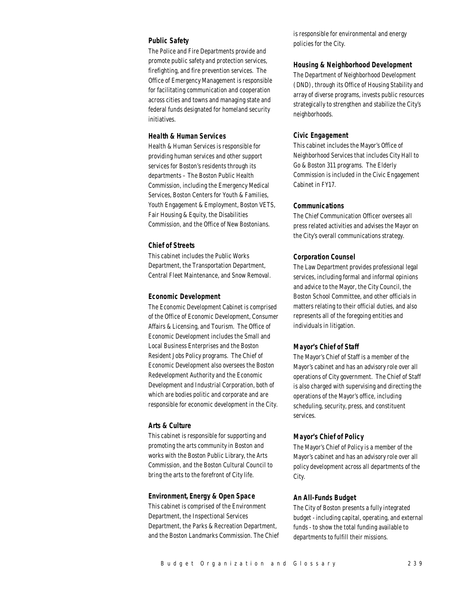# *Public Safety*

The Police and Fire Departments provide and promote public safety and protection services, firefighting, and fire prevention services. The Office of Emergency Management is responsible for facilitating communication and cooperation across cities and towns and managing state and federal funds designated for homeland security initiatives.

# *Health & Human Services*

Health & Human Services is responsible for providing human services and other support services for Boston's residents through its departments – The Boston Public Health Commission, including the Emergency Medical Services, Boston Centers for Youth & Families, Youth Engagement & Employment, Boston VETS, Fair Housing & Equity, the Disabilities Commission, and the Office of New Bostonians.

#### *Chief of Streets*

This cabinet includes the Public Works Department, the Transportation Department, Central Fleet Maintenance, and Snow Removal.

#### *Economic Development*

The Economic Development Cabinet is comprised of the Office of Economic Development, Consumer Affairs & Licensing, and Tourism. The Office of Economic Development includes the Small and Local Business Enterprises and the Boston Resident Jobs Policy programs. The Chief of Economic Development also oversees the Boston Redevelopment Authority and the Economic Development and Industrial Corporation, both of which are bodies politic and corporate and are responsible for economic development in the City.

## *Arts & Culture*

This cabinet is responsible for supporting and promoting the arts community in Boston and works with the Boston Public Library, the Arts Commission, and the Boston Cultural Council to bring the arts to the forefront of City life.

## *Environment, Energy & Open Space*

This cabinet is comprised of the Environment Department, the Inspectional Services Department, the Parks & Recreation Department, and the Boston Landmarks Commission. The Chief is responsible for environmental and energy policies for the City.

#### *Housing & Neighborhood Development*

The Department of Neighborhood Development (DND), through its Office of Housing Stability and array of diverse programs, invests public resources strategically to strengthen and stabilize the City's neighborhoods.

## *Civic Engagement*

This cabinet includes the Mayor's Office of Neighborhood Services that includes City Hall to Go & Boston 311 programs. The Elderly Commission is included in the Civic Engagement Cabinet in FY17.

#### *Communications*

The Chief Communication Officer oversees all press related activities and advises the Mayor on the City's overall communications strategy.

#### *Corporation Counsel*

The Law Department provides professional legal services, including formal and informal opinions and advice to the Mayor, the City Council, the Boston School Committee, and other officials in matters relating to their official duties, and also represents all of the foregoing entities and individuals in litigation.

## *Mayor's Chief of Staff*

The Mayor's Chief of Staff is a member of the Mayor's cabinet and has an advisory role over all operations of City government. The Chief of Staff is also charged with supervising and directing the operations of the Mayor's office, including scheduling, security, press, and constituent services.

## *Mayor's Chief of Policy*

The Mayor's Chief of Policy is a member of the Mayor's cabinet and has an advisory role over all policy development across all departments of the City.

#### *An All-Funds Budget*

The City of Boston presents a fully integrated budget - including capital, operating, and external funds - to show the total funding available to departments to fulfill their missions.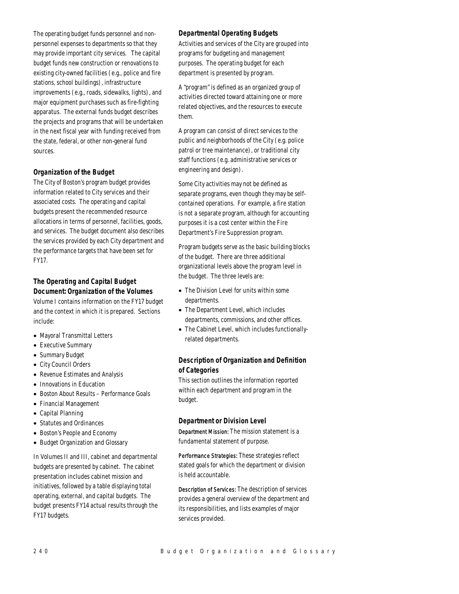The operating budget funds personnel and nonpersonnel expenses to departments so that they may provide important city services. The capital budget funds new construction or renovations to existing city-owned facilities (e.g., police and fire stations, school buildings), infrastructure improvements (e.g., roads, sidewalks, lights), and major equipment purchases such as fire-fighting apparatus. The external funds budget describes the projects and programs that will be undertaken in the next fiscal year with funding received from the state, federal, or other non-general fund sources.

# *Organization of the Budget*

The City of Boston's program budget provides information related to City services and their associated costs. The operating and capital budgets present the recommended resource allocations in terms of personnel, facilities, goods, and services. The budget document also describes the services provided by each City department and the performance targets that have been set for FY17.

# *The Operating and Capital Budget Document: Organization of the Volumes*

Volume I contains information on the FY17 budget and the context in which it is prepared. Sections include:

- Mayoral Transmittal Letters
- Executive Summary
- Summary Budget
- City Council Orders
- Revenue Estimates and Analysis
- Innovations in Education
- Boston About Results Performance Goals
- Financial Management
- Capital Planning
- Statutes and Ordinances
- Boston's People and Economy
- Budget Organization and Glossary

In Volumes II and III, cabinet and departmental budgets are presented by cabinet. The cabinet presentation includes cabinet mission and initiatives, followed by a table displaying total operating, external, and capital budgets. The budget presents FY14 actual results through the FY17 budgets.

# *Departmental Operating Budgets*

Activities and services of the City are grouped into programs for budgeting and management purposes. The operating budget for each department is presented by program.

A "program" is defined as an organized group of activities directed toward attaining one or more related objectives, and the resources to execute them.

A program can consist of direct services to the public and neighborhoods of the City (e.g. police patrol or tree maintenance), or traditional city staff functions (e.g. administrative services or engineering and design).

Some City activities may not be defined as separate programs, even though they may be selfcontained operations. For example, a fire station is not a separate program, although for accounting purposes it is a cost center within the Fire Department's Fire Suppression program.

Program budgets serve as the basic building blocks of the budget. There are three additional organizational levels above the program level in the budget. The three levels are:

- The Division Level for units within some departments.
- The Department Level, which includes departments, commissions, and other offices.
- The Cabinet Level, which includes functionallyrelated departments.

# *Description of Organization and Definition of Categories*

This section outlines the information reported within each department and program in the budget.

## *Department or Division Level*

Department Mission: The mission statement is a fundamental statement of purpose.

Performance Strategies: These strategies reflect stated goals for which the department or division is held accountable.

Description of Services: The description of services provides a general overview of the department and its responsibilities, and lists examples of major services provided.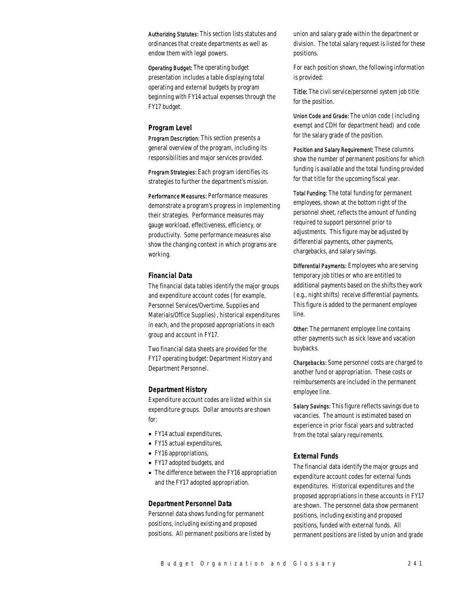Authorizing Statutes: This section lists statutes and ordinances that create departments as well as endow them with legal powers.

Operating Budget: The operating budget presentation includes a table displaying total operating and external budgets by program beginning with FY14 actual expenses through the FY17 budget.

#### *Program Level*

Program Description: This section presents a general overview of the program, including its responsibilities and major services provided.

Program Strategies: Each program identifies its strategies to further the department's mission.

Performance Measures: Performance measures demonstrate a program's progress in implementing their strategies. Performance measures may gauge workload, effectiveness, efficiency, or productivity. Some performance measures also show the changing context in which programs are working.

## *Financial Data*

The financial data tables identify the major groups and expenditure account codes (for example, Personnel Services/Overtime, Supplies and Materials/Office Supplies), historical expenditures in each, and the proposed appropriations in each group and account in FY17.

Two financial data sheets are provided for the FY17 operating budget: Department History and Department Personnel.

#### *Department History*

Expenditure account codes are listed within six expenditure groups. Dollar amounts are shown for:

- FY14 actual expenditures,
- FY15 actual expenditures,
- FY16 appropriations,
- FY17 adopted budgets, and
- The difference between the FY16 appropriation and the FY17 adopted appropriation.

## *Department Personnel Data*

Personnel data shows funding for permanent positions, including existing and proposed positions. All permanent positions are listed by union and salary grade within the department or division. The total salary request is listed for these positions.

For each position shown, the following information is provided:

Title: The civil service/personnel system job title for the position.

Union Code and Grade: The union code (including exempt and CDH for department head) and code for the salary grade of the position.

Position and Salary Requirement: These columns show the number of permanent positions for which funding is available and the total funding provided for that title for the upcoming fiscal year.

Total Funding: The total funding for permanent employees, shown at the bottom right of the personnel sheet, reflects the amount of funding required to support personnel prior to adjustments. This figure may be adjusted by differential payments, other payments, chargebacks, and salary savings.

Differential Payments: Employees who are serving temporary job titles or who are entitled to additional payments based on the shifts they work (e.g., night shifts) receive differential payments. This figure is added to the permanent employee line.

Other: The permanent employee line contains other payments such as sick leave and vacation buybacks.

Chargebacks: Some personnel costs are charged to another fund or appropriation. These costs or reimbursements are included in the permanent employee line.

Salary Savings: This figure reflects savings due to vacancies. The amount is estimated based on experience in prior fiscal years and subtracted from the total salary requirements.

## *External Funds*

The financial data identify the major groups and expenditure account codes for external funds expenditures. Historical expenditures and the proposed appropriations in these accounts in FY17 are shown. The personnel data show permanent positions, including existing and proposed positions, funded with external funds. All permanent positions are listed by union and grade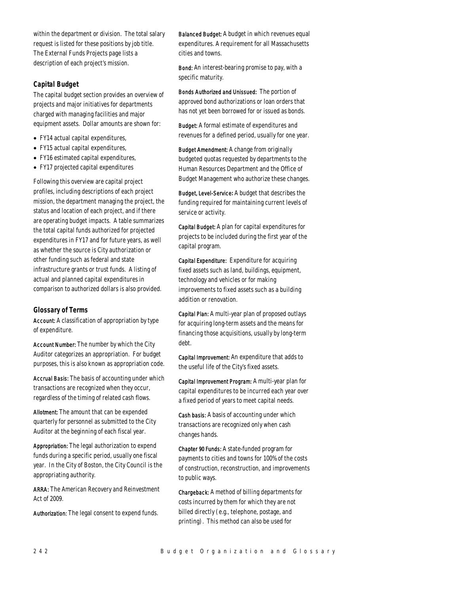within the department or division. The total salary request is listed for these positions by job title. The External Funds Projects page lists a description of each project's mission.

# *Capital Budget*

The capital budget section provides an overview of projects and major initiatives for departments charged with managing facilities and major equipment assets. Dollar amounts are shown for:

- FY14 actual capital expenditures,
- FY15 actual capital expenditures,
- FY16 estimated capital expenditures,
- FY17 projected capital expenditures

Following this overview are capital project profiles, including descriptions of each project mission, the department managing the project, the status and location of each project, and if there are operating budget impacts. A table summarizes the total capital funds authorized for projected expenditures in FY17 and for future years, as well as whether the source is City authorization or other funding such as federal and state infrastructure grants or trust funds. A listing of actual and planned capital expenditures in comparison to authorized dollars is also provided.

# *Glossary of Terms*

Account: A classification of appropriation by type of expenditure.

Account Number: The number by which the City Auditor categorizes an appropriation. For budget purposes, this is also known as appropriation code.

Accrual Basis: The basis of accounting under which transactions are recognized when they occur, regardless of the timing of related cash flows.

Allotment: The amount that can be expended quarterly for personnel as submitted to the City Auditor at the beginning of each fiscal year.

Appropriation: The legal authorization to expend funds during a specific period, usually one fiscal year. In the City of Boston, the City Council is the appropriating authority.

ARRA: The American Recovery and Reinvestment Act of 2009.

Authorization: The legal consent to expend funds.

Balanced Budget: A budget in which revenues equal expenditures. A requirement for all Massachusetts cities and towns.

Bond: An interest-bearing promise to pay, with a specific maturity.

Bonds Authorized and Unissued: The portion of approved bond authorizations or loan orders that has not yet been borrowed for or issued as bonds.

Budget: A formal estimate of expenditures and revenues for a defined period, usually for one year.

Budget Amendment: A change from originally budgeted quotas requested by departments to the Human Resources Department and the Office of Budget Management who authorize these changes.

Budget, Level-Service*:* A budget that describes the funding required for maintaining current levels of service or activity.

Capital Budget: A plan for capital expenditures for projects to be included during the first year of the capital program.

Capital Expenditure: Expenditure for acquiring fixed assets such as land, buildings, equipment, technology and vehicles or for making improvements to fixed assets such as a building addition or renovation.

Capital Plan: A multi-year plan of proposed outlays for acquiring long-term assets and the means for financing those acquisitions, usually by long-term debt.

Capital Improvement: An expenditure that adds to the useful life of the City's fixed assets.

Capital Improvement Program: A multi-year plan for capital expenditures to be incurred each year over a fixed period of years to meet capital needs.

Cash basis: A basis of accounting under which transactions are recognized only when cash changes hands.

Chapter 90 Funds: A state-funded program for payments to cities and towns for 100% of the costs of construction, reconstruction, and improvements to public ways.

Chargeback: A method of billing departments for costs incurred by them for which they are not billed directly (e.g., telephone, postage, and printing). This method can also be used for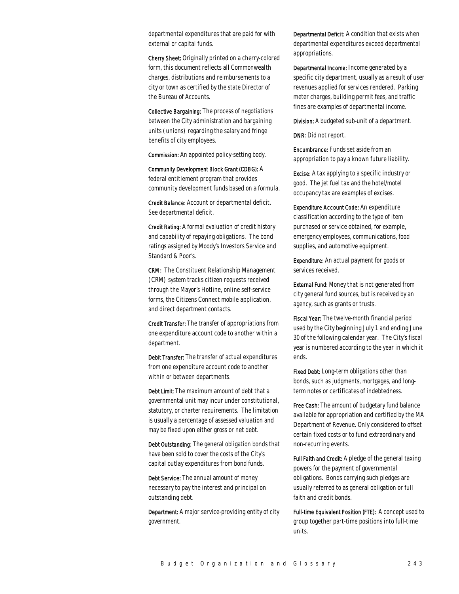departmental expenditures that are paid for with external or capital funds.

Cherry Sheet: Originally printed on a cherry-colored form, this document reflects all Commonwealth charges, distributions and reimbursements to a city or town as certified by the state Director of the Bureau of Accounts.

Collective Bargaining: The process of negotiations between the City administration and bargaining units (unions) regarding the salary and fringe benefits of city employees.

Commission: An appointed policy-setting body.

Community Development Block Grant (CDBG): A federal entitlement program that provides community development funds based on a formula.

Credit Balance: Account or departmental deficit. See departmental deficit.

Credit Rating: A formal evaluation of credit history and capability of repaying obligations. The bond ratings assigned by Moody's Investors Service and Standard & Poor's.

CRM: The Constituent Relationship Management (CRM) system tracks citizen requests received through the Mayor's Hotline, online self-service forms, the Citizens Connect mobile application, and direct department contacts.

Credit Transfer: The transfer of appropriations from one expenditure account code to another within a department.

Debit Transfer: The transfer of actual expenditures from one expenditure account code to another within or between departments.

Debt Limit: The maximum amount of debt that a governmental unit may incur under constitutional, statutory, or charter requirements. The limitation is usually a percentage of assessed valuation and may be fixed upon either gross or net debt.

Debt Outstanding: The general obligation bonds that have been sold to cover the costs of the City's capital outlay expenditures from bond funds.

Debt Service: The annual amount of money necessary to pay the interest and principal on outstanding debt.

Department: A major service-providing entity of city government.

Departmental Deficit: A condition that exists when departmental expenditures exceed departmental appropriations.

Departmental Income: Income generated by a specific city department, usually as a result of user revenues applied for services rendered. Parking meter charges, building permit fees, and traffic fines are examples of departmental income.

Division: A budgeted sub-unit of a department.

DNR: Did not report.

Encumbrance: Funds set aside from an appropriation to pay a known future liability.

Excise: A tax applying to a specific industry or good. The jet fuel tax and the hotel/motel occupancy tax are examples of excises.

Expenditure Account Code: An expenditure classification according to the type of item purchased or service obtained, for example, emergency employees, communications, food supplies, and automotive equipment.

Expenditure: An actual payment for goods or services received.

External Fund: Money that is not generated from city general fund sources, but is received by an agency, such as grants or trusts.

Fiscal Year: The twelve-month financial period used by the City beginning July 1 and ending June 30 of the following calendar year. The City's fiscal year is numbered according to the year in which it ends.

Fixed Debt: Long-term obligations other than bonds, such as judgments, mortgages, and longterm notes or certificates of indebtedness.

Free Cash: The amount of budgetary fund balance available for appropriation and certified by the MA Department of Revenue. Only considered to offset certain fixed costs or to fund extraordinary and non-recurring events.

Full Faith and Credit: A pledge of the general taxing powers for the payment of governmental obligations. Bonds carrying such pledges are usually referred to as general obligation or full faith and credit bonds.

Full-time Equivalent Position (FTE): A concept used to group together part-time positions into full-time units.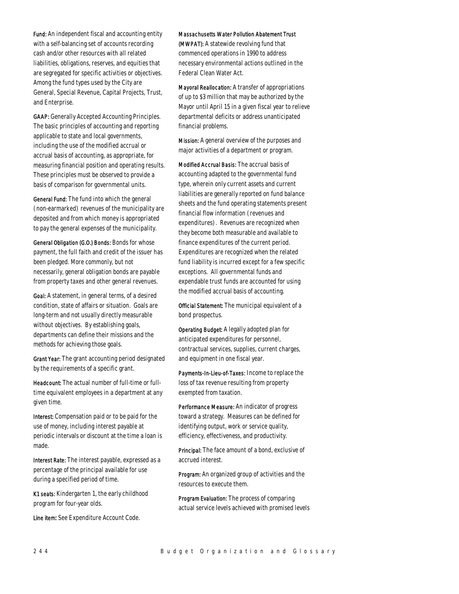Fund: An independent fiscal and accounting entity with a self-balancing set of accounts recording cash and/or other resources with all related liabilities, obligations, reserves, and equities that are segregated for specific activities or objectives. Among the fund types used by the City are General, Special Revenue, Capital Projects, Trust, and Enterprise.

GAAP: Generally Accepted Accounting Principles. The basic principles of accounting and reporting applicable to state and local governments, including the use of the modified accrual or accrual basis of accounting, as appropriate, for measuring financial position and operating results. These principles must be observed to provide a basis of comparison for governmental units.

General Fund: The fund into which the general (non-earmarked) revenues of the municipality are deposited and from which money is appropriated to pay the general expenses of the municipality.

General Obligation (G.O.) Bonds: Bonds for whose payment, the full faith and credit of the issuer has been pledged. More commonly, but not necessarily, general obligation bonds are payable from property taxes and other general revenues.

Goal: A statement, in general terms, of a desired condition, state of affairs or situation. Goals are long-term and not usually directly measurable without objectives. By establishing goals, departments can define their missions and the methods for achieving those goals.

Grant Year: The grant accounting period designated by the requirements of a specific grant.

Headcount: The actual number of full-time or fulltime equivalent employees in a department at any given time.

Interest: Compensation paid or to be paid for the use of money, including interest payable at periodic intervals or discount at the time a loan is made.

Interest Rate: The interest payable, expressed as a percentage of the principal available for use during a specified period of time.

K1 seats: Kindergarten 1, the early childhood program for four-year olds.

Line item: See Expenditure Account Code.

#### Massachusetts Water Pollution Abatement Trust

(MWPAT): A statewide revolving fund that commenced operations in 1990 to address necessary environmental actions outlined in the Federal Clean Water Act.

Mayoral Reallocation: A transfer of appropriations of up to \$3 million that may be authorized by the Mayor until April 15 in a given fiscal year to relieve departmental deficits or address unanticipated financial problems.

Mission: A general overview of the purposes and major activities of a department or program.

Modified Accrual Basis: The accrual basis of accounting adapted to the governmental fund type, wherein only current assets and current liabilities are generally reported on fund balance sheets and the fund operating statements present financial flow information (revenues and expenditures). Revenues are recognized when they become both measurable and available to finance expenditures of the current period. Expenditures are recognized when the related fund liability is incurred except for a few specific exceptions. All governmental funds and expendable trust funds are accounted for using the modified accrual basis of accounting.

Official Statement: The municipal equivalent of a bond prospectus.

Operating Budget: A legally adopted plan for anticipated expenditures for personnel, contractual services, supplies, current charges, and equipment in one fiscal year.

Payments-In-Lieu-of-Taxes: Income to replace the loss of tax revenue resulting from property exempted from taxation.

Performance Measure: An indicator of progress toward a strategy. Measures can be defined for identifying output, work or service quality, efficiency, effectiveness, and productivity.

Principal: The face amount of a bond, exclusive of accrued interest.

Program: An organized group of activities and the resources to execute them.

Program Evaluation: The process of comparing actual service levels achieved with promised levels